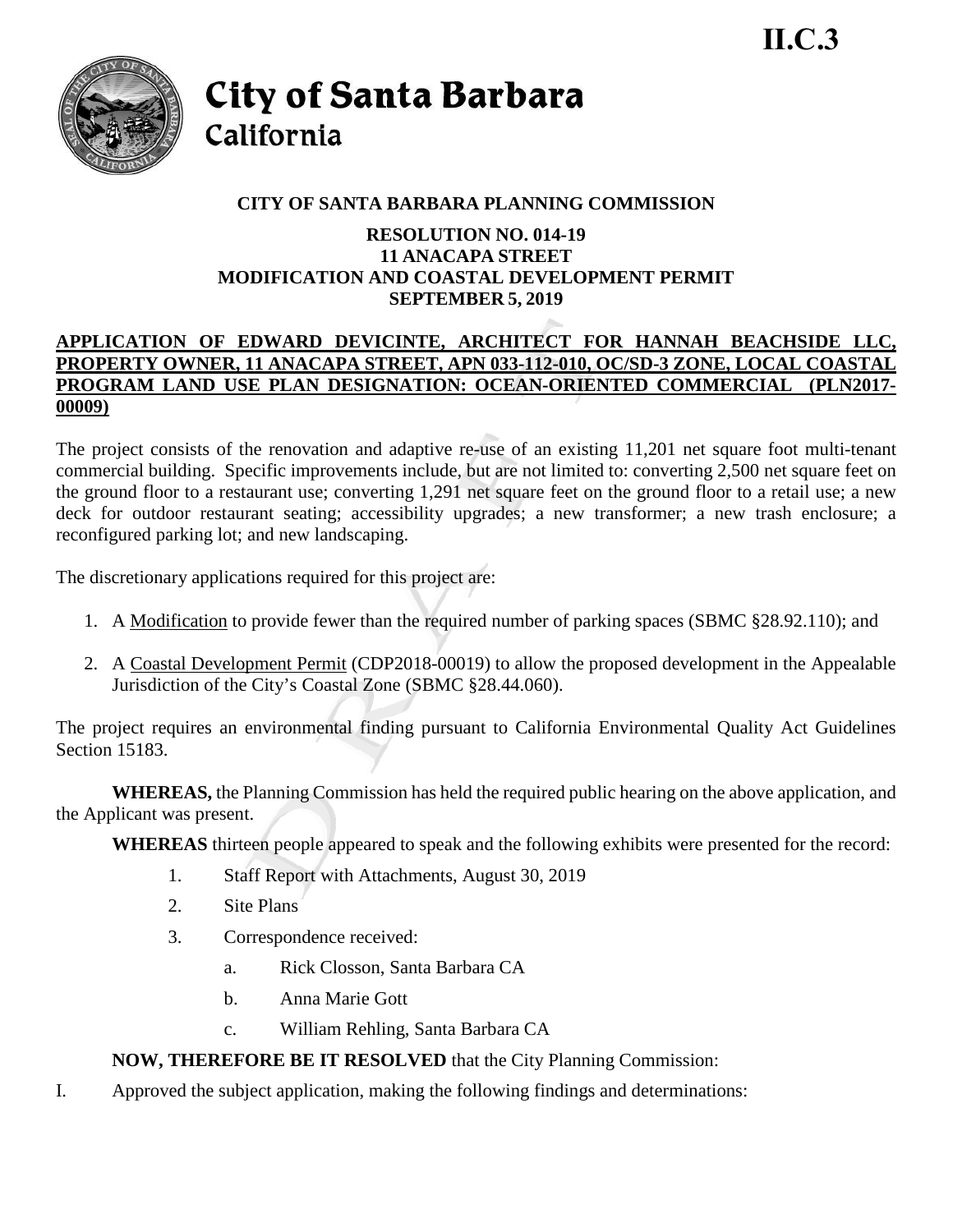

City of Santa Barbara California

# **CITY OF SANTA BARBARA PLANNING COMMISSION**

## **RESOLUTION NO. 014-19 11 ANACAPA STREET MODIFICATION AND COASTAL DEVELOPMENT PERMIT SEPTEMBER 5, 2019**

## **APPLICATION OF EDWARD DEVICINTE, ARCHITECT FOR HANNAH BEACHSIDE LLC, PROPERTY OWNER, 11 ANACAPA STREET, APN 033-112-010, OC/SD-3 ZONE, LOCAL COASTAL PROGRAM LAND USE PLAN DESIGNATION: OCEAN-ORIENTED COMMERCIAL (PLN2017- 00009)**

The project consists of the renovation and adaptive re-use of an existing 11,201 net square foot multi-tenant commercial building. Specific improvements include, but are not limited to: converting 2,500 net square feet on the ground floor to a restaurant use; converting 1,291 net square feet on the ground floor to a retail use; a new deck for outdoor restaurant seating; accessibility upgrades; a new transformer; a new trash enclosure; a reconfigured parking lot; and new landscaping.

The discretionary applications required for this project are:

- 1. A Modification to provide fewer than the required number of parking spaces (SBMC §28.92.110); and
- 2. A Coastal Development Permit (CDP2018-00019) to allow the proposed development in the Appealable Jurisdiction of the City's Coastal Zone (SBMC §28.44.060).

The project requires an environmental finding pursuant to California Environmental Quality Act Guidelines Section 15183.

**WHEREAS,** the Planning Commission has held the required public hearing on the above application, and the Applicant was present.

**WHEREAS** thirteen people appeared to speak and the following exhibits were presented for the record:

- 1. Staff Report with Attachments, August 30, 2019
- 2. Site Plans
- 3. Correspondence received:
	- a. Rick Closson, Santa Barbara CA
	- b. Anna Marie Gott
	- c. William Rehling, Santa Barbara CA

# **NOW, THEREFORE BE IT RESOLVED** that the City Planning Commission:

I. Approved the subject application, making the following findings and determinations: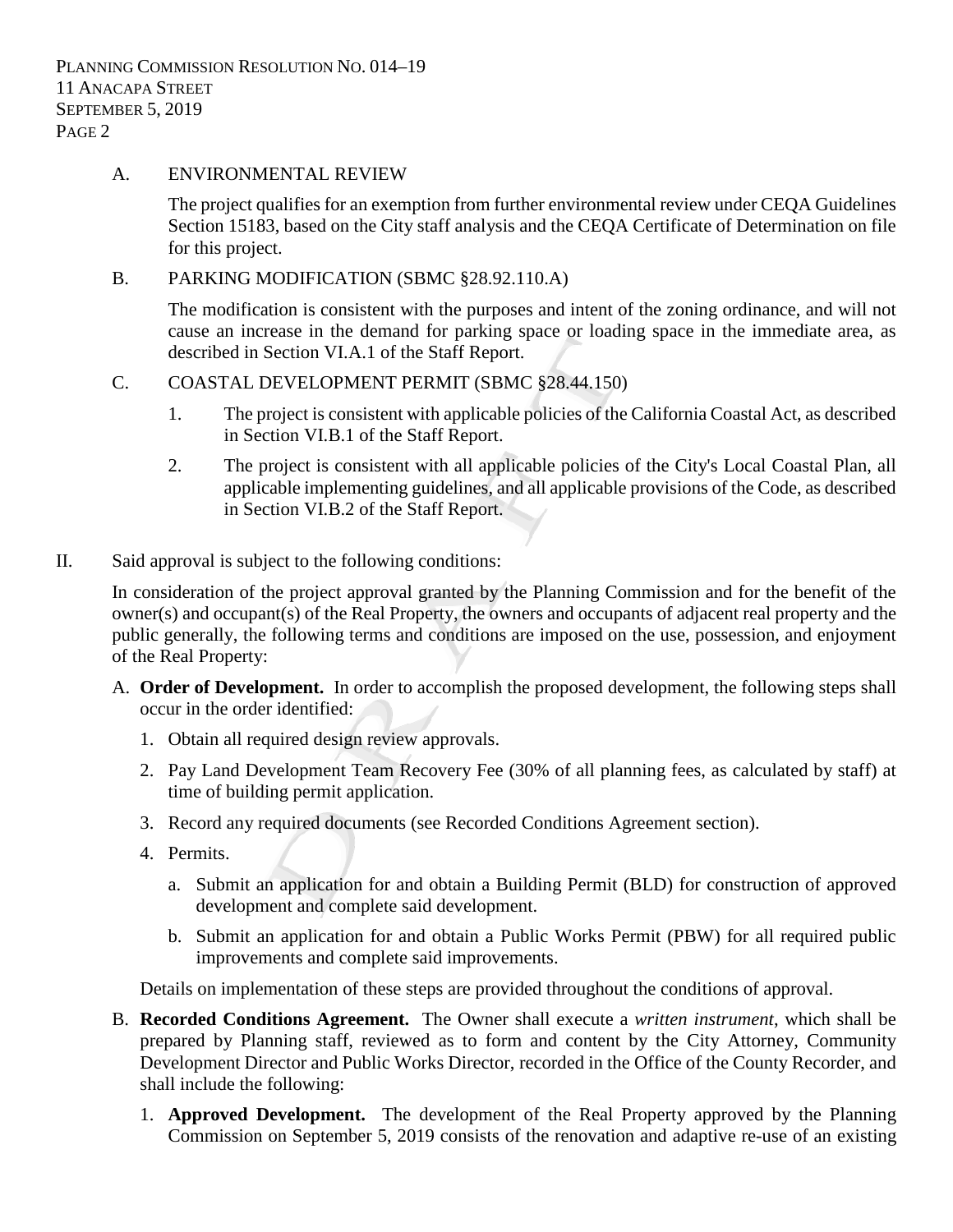#### A. ENVIRONMENTAL REVIEW

The project qualifies for an exemption from further environmental review under CEQA Guidelines Section 15183, based on the City staff analysis and the CEQA Certificate of Determination on file for this project.

B. PARKING MODIFICATION (SBMC §28.92.110.A)

The modification is consistent with the purposes and intent of the zoning ordinance, and will not cause an increase in the demand for parking space or loading space in the immediate area, as described in Section VI.A.1 of the Staff Report.

### C. COASTAL DEVELOPMENT PERMIT (SBMC §28.44.150)

- 1. The project is consistent with applicable policies of the California Coastal Act, as described in Section VI.B.1 of the Staff Report.
- 2. The project is consistent with all applicable policies of the City's Local Coastal Plan, all applicable implementing guidelines, and all applicable provisions of the Code, as described in Section VI.B.2 of the Staff Report.
- II. Said approval is subject to the following conditions:

In consideration of the project approval granted by the Planning Commission and for the benefit of the owner(s) and occupant(s) of the Real Property, the owners and occupants of adjacent real property and the public generally, the following terms and conditions are imposed on the use, possession, and enjoyment of the Real Property:

- A. **Order of Development.** In order to accomplish the proposed development, the following steps shall occur in the order identified:
	- 1. Obtain all required design review approvals.
	- 2. Pay Land Development Team Recovery Fee (30% of all planning fees, as calculated by staff) at time of building permit application.
	- 3. Record any required documents (see Recorded Conditions Agreement section).
	- 4. Permits.
		- a. Submit an application for and obtain a Building Permit (BLD) for construction of approved development and complete said development.
		- b. Submit an application for and obtain a Public Works Permit (PBW) for all required public improvements and complete said improvements.

Details on implementation of these steps are provided throughout the conditions of approval.

- B. **Recorded Conditions Agreement.** The Owner shall execute a *written instrument*, which shall be prepared by Planning staff, reviewed as to form and content by the City Attorney, Community Development Director and Public Works Director, recorded in the Office of the County Recorder, and shall include the following:
	- 1. **Approved Development.** The development of the Real Property approved by the Planning Commission on September 5, 2019 consists of the renovation and adaptive re-use of an existing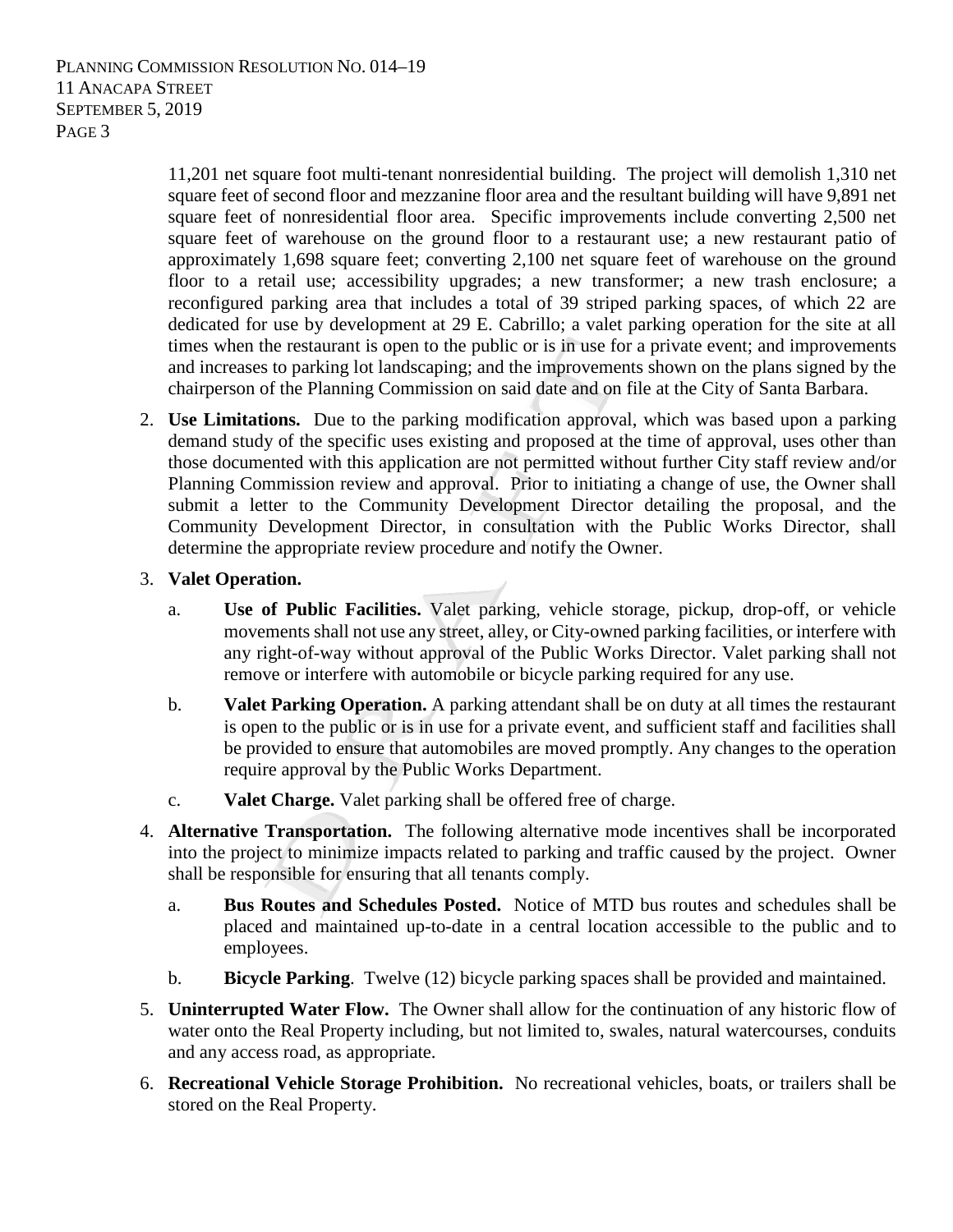11,201 net square foot multi-tenant nonresidential building. The project will demolish 1,310 net square feet of second floor and mezzanine floor area and the resultant building will have 9,891 net square feet of nonresidential floor area. Specific improvements include converting 2,500 net square feet of warehouse on the ground floor to a restaurant use; a new restaurant patio of approximately 1,698 square feet; converting 2,100 net square feet of warehouse on the ground floor to a retail use; accessibility upgrades; a new transformer; a new trash enclosure; a reconfigured parking area that includes a total of 39 striped parking spaces, of which 22 are dedicated for use by development at 29 E. Cabrillo; a valet parking operation for the site at all times when the restaurant is open to the public or is in use for a private event; and improvements and increases to parking lot landscaping; and the improvements shown on the plans signed by the chairperson of the Planning Commission on said date and on file at the City of Santa Barbara.

2. **Use Limitations.** Due to the parking modification approval, which was based upon a parking demand study of the specific uses existing and proposed at the time of approval, uses other than those documented with this application are not permitted without further City staff review and/or Planning Commission review and approval. Prior to initiating a change of use, the Owner shall submit a letter to the Community Development Director detailing the proposal, and the Community Development Director, in consultation with the Public Works Director, shall determine the appropriate review procedure and notify the Owner.

## 3. **Valet Operation.**

- a. **Use of Public Facilities.** Valet parking, vehicle storage, pickup, drop-off, or vehicle movements shall not use any street, alley, or City-owned parking facilities, or interfere with any right-of-way without approval of the Public Works Director. Valet parking shall not remove or interfere with automobile or bicycle parking required for any use.
- b. **Valet Parking Operation.** A parking attendant shall be on duty at all times the restaurant is open to the public or is in use for a private event, and sufficient staff and facilities shall be provided to ensure that automobiles are moved promptly. Any changes to the operation require approval by the Public Works Department.
- c. **Valet Charge.** Valet parking shall be offered free of charge.
- 4. **Alternative Transportation.** The following alternative mode incentives shall be incorporated into the project to minimize impacts related to parking and traffic caused by the project. Owner shall be responsible for ensuring that all tenants comply.
	- a. **Bus Routes and Schedules Posted.** Notice of MTD bus routes and schedules shall be placed and maintained up-to-date in a central location accessible to the public and to employees.
	- b. **Bicycle Parking**. Twelve (12) bicycle parking spaces shall be provided and maintained.
- 5. **Uninterrupted Water Flow.** The Owner shall allow for the continuation of any historic flow of water onto the Real Property including, but not limited to, swales, natural watercourses, conduits and any access road, as appropriate.
- 6. **Recreational Vehicle Storage Prohibition.** No recreational vehicles, boats, or trailers shall be stored on the Real Property.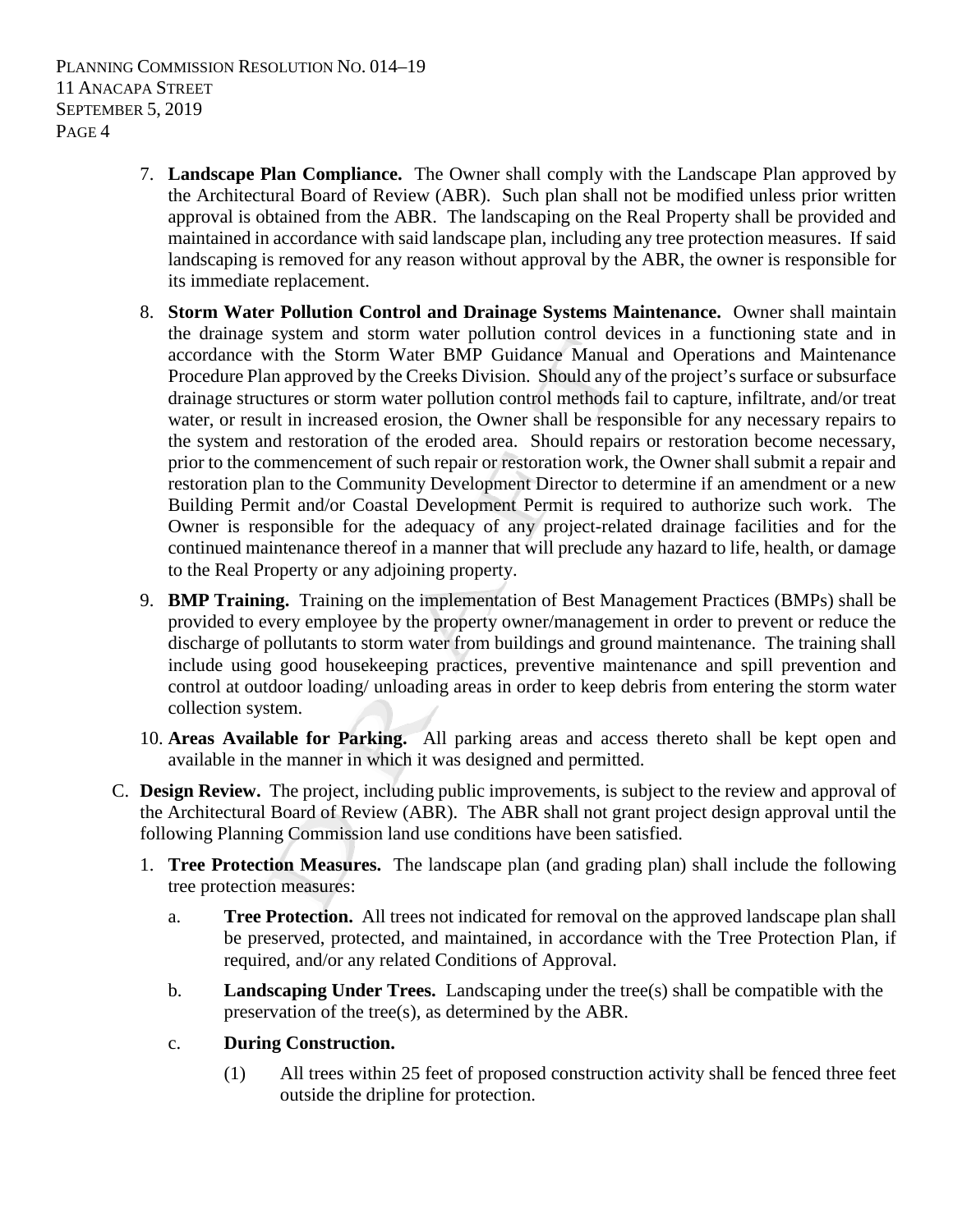PLANNING COMMISSION RESOLUTION NO. 014–19 11 ANACAPA STREET SEPTEMBER 5, 2019 PAGE 4

- 7. **Landscape Plan Compliance.** The Owner shall comply with the Landscape Plan approved by the Architectural Board of Review (ABR). Such plan shall not be modified unless prior written approval is obtained from the ABR. The landscaping on the Real Property shall be provided and maintained in accordance with said landscape plan, including any tree protection measures. If said landscaping is removed for any reason without approval by the ABR, the owner is responsible for its immediate replacement.
- 8. **Storm Water Pollution Control and Drainage Systems Maintenance.** Owner shall maintain the drainage system and storm water pollution control devices in a functioning state and in accordance with the Storm Water BMP Guidance Manual and Operations and Maintenance Procedure Plan approved by the Creeks Division. Should any of the project's surface or subsurface drainage structures or storm water pollution control methods fail to capture, infiltrate, and/or treat water, or result in increased erosion, the Owner shall be responsible for any necessary repairs to the system and restoration of the eroded area. Should repairs or restoration become necessary, prior to the commencement of such repair or restoration work, the Owner shall submit a repair and restoration plan to the Community Development Director to determine if an amendment or a new Building Permit and/or Coastal Development Permit is required to authorize such work. The Owner is responsible for the adequacy of any project-related drainage facilities and for the continued maintenance thereof in a manner that will preclude any hazard to life, health, or damage to the Real Property or any adjoining property.
- 9. **BMP Training.** Training on the implementation of Best Management Practices (BMPs) shall be provided to every employee by the property owner/management in order to prevent or reduce the discharge of pollutants to storm water from buildings and ground maintenance. The training shall include using good housekeeping practices, preventive maintenance and spill prevention and control at outdoor loading/ unloading areas in order to keep debris from entering the storm water collection system.
- 10. **Areas Available for Parking.** All parking areas and access thereto shall be kept open and available in the manner in which it was designed and permitted.
- C. **Design Review.** The project, including public improvements, is subject to the review and approval of the Architectural Board of Review (ABR). The ABR shall not grant project design approval until the following Planning Commission land use conditions have been satisfied.
	- 1. **Tree Protection Measures.** The landscape plan (and grading plan) shall include the following tree protection measures:
		- a. **Tree Protection.** All trees not indicated for removal on the approved landscape plan shall be preserved, protected, and maintained, in accordance with the Tree Protection Plan, if required, and/or any related Conditions of Approval.
		- b. **Landscaping Under Trees.** Landscaping under the tree(s) shall be compatible with the preservation of the tree(s), as determined by the ABR.
		- c. **During Construction.** 
			- (1) All trees within 25 feet of proposed construction activity shall be fenced three feet outside the dripline for protection.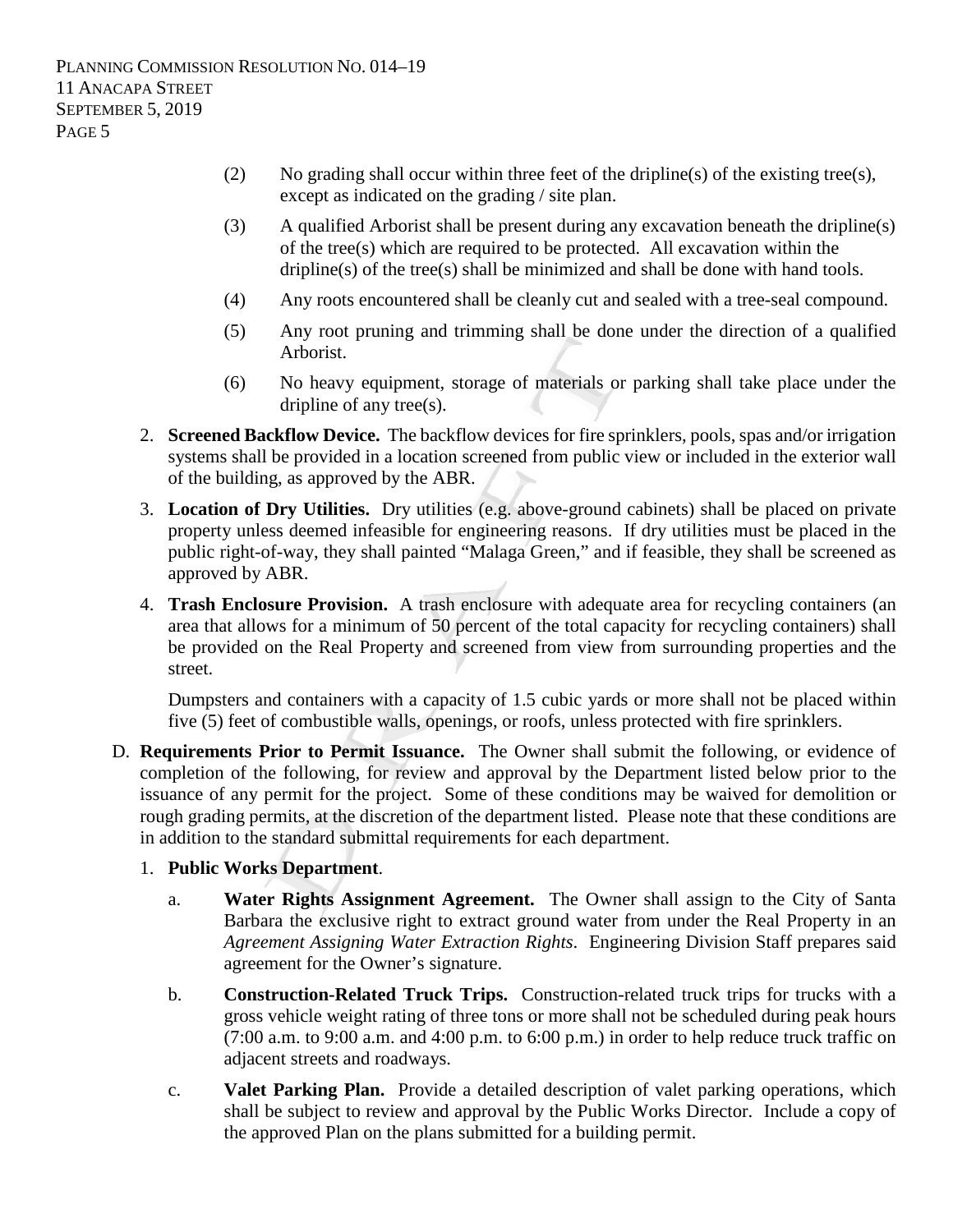- (2) No grading shall occur within three feet of the dripline(s) of the existing tree(s), except as indicated on the grading / site plan.
- (3) A qualified Arborist shall be present during any excavation beneath the dripline(s) of the tree(s) which are required to be protected. All excavation within the dripline(s) of the tree(s) shall be minimized and shall be done with hand tools.
- (4) Any roots encountered shall be cleanly cut and sealed with a tree-seal compound.
- (5) Any root pruning and trimming shall be done under the direction of a qualified Arborist.
- (6) No heavy equipment, storage of materials or parking shall take place under the dripline of any tree(s).
- 2. **Screened Backflow Device.** The backflow devices for fire sprinklers, pools, spas and/or irrigation systems shall be provided in a location screened from public view or included in the exterior wall of the building, as approved by the ABR.
- 3. **Location of Dry Utilities.** Dry utilities (e.g. above-ground cabinets) shall be placed on private property unless deemed infeasible for engineering reasons. If dry utilities must be placed in the public right-of-way, they shall painted "Malaga Green," and if feasible, they shall be screened as approved by ABR.
- 4. **Trash Enclosure Provision.** A trash enclosure with adequate area for recycling containers (an area that allows for a minimum of 50 percent of the total capacity for recycling containers) shall be provided on the Real Property and screened from view from surrounding properties and the street.

Dumpsters and containers with a capacity of 1.5 cubic yards or more shall not be placed within five (5) feet of combustible walls, openings, or roofs, unless protected with fire sprinklers.

- D. **Requirements Prior to Permit Issuance.** The Owner shall submit the following, or evidence of completion of the following, for review and approval by the Department listed below prior to the issuance of any permit for the project. Some of these conditions may be waived for demolition or rough grading permits, at the discretion of the department listed. Please note that these conditions are in addition to the standard submittal requirements for each department.
	- 1. **Public Works Department**.
		- a. **Water Rights Assignment Agreement.** The Owner shall assign to the City of Santa Barbara the exclusive right to extract ground water from under the Real Property in an *Agreement Assigning Water Extraction Rights*. Engineering Division Staff prepares said agreement for the Owner's signature.
		- b. **Construction-Related Truck Trips.** Construction-related truck trips for trucks with a gross vehicle weight rating of three tons or more shall not be scheduled during peak hours (7:00 a.m. to 9:00 a.m. and 4:00 p.m. to 6:00 p.m.) in order to help reduce truck traffic on adjacent streets and roadways.
		- c. **Valet Parking Plan.** Provide a detailed description of valet parking operations, which shall be subject to review and approval by the Public Works Director. Include a copy of the approved Plan on the plans submitted for a building permit.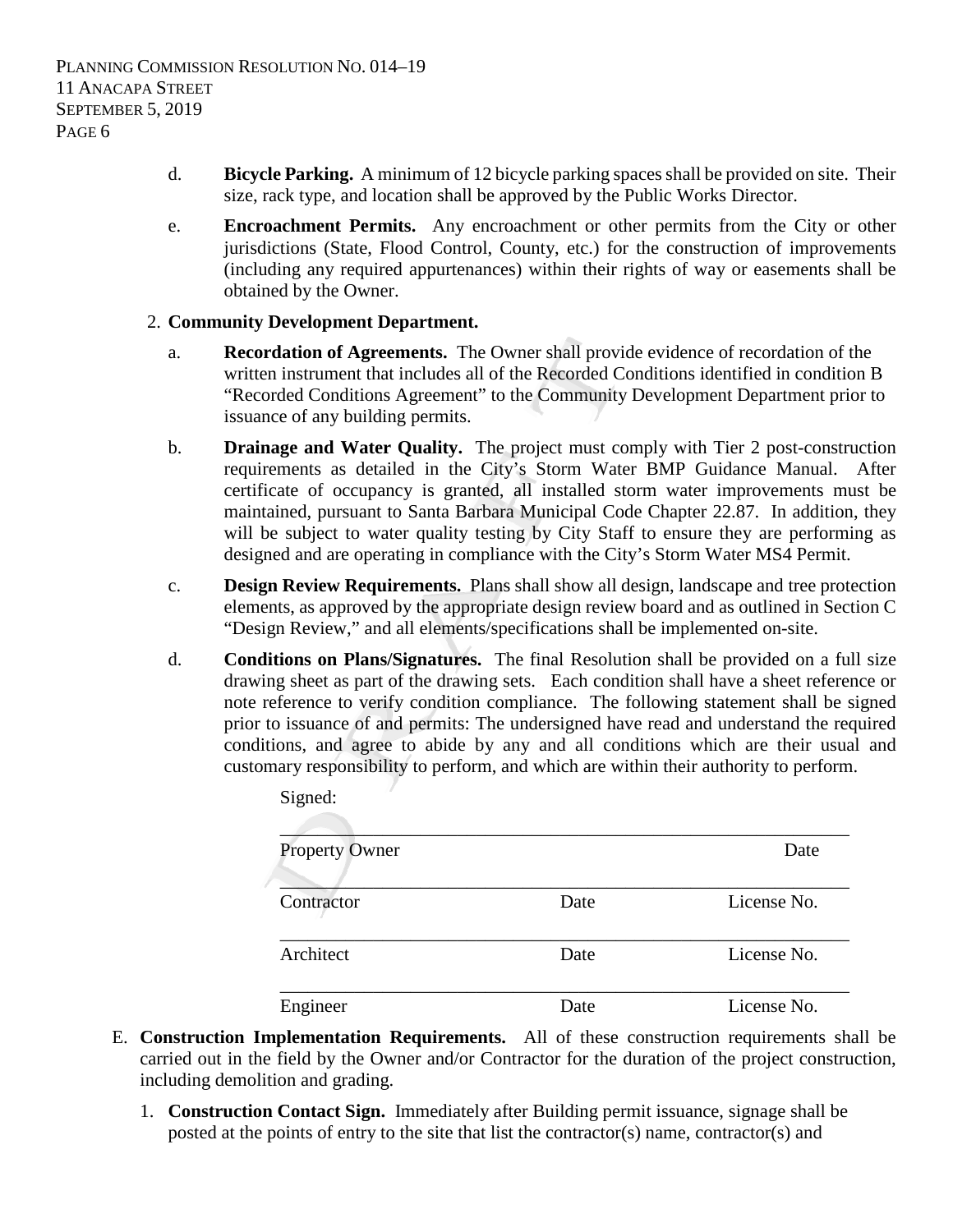- d. **Bicycle Parking.** A minimum of 12 bicycle parking spaces shall be provided on site. Their size, rack type, and location shall be approved by the Public Works Director.
- e. **Encroachment Permits.** Any encroachment or other permits from the City or other jurisdictions (State, Flood Control, County, etc.) for the construction of improvements (including any required appurtenances) within their rights of way or easements shall be obtained by the Owner.

## 2. **Community Development Department.**

Signed:

- a. **Recordation of Agreements.** The Owner shall provide evidence of recordation of the written instrument that includes all of the Recorded Conditions identified in condition B "Recorded Conditions Agreement" to the Community Development Department prior to issuance of any building permits.
- b. **Drainage and Water Quality.** The project must comply with Tier 2 post-construction requirements as detailed in the City's Storm Water BMP Guidance Manual. After certificate of occupancy is granted, all installed storm water improvements must be maintained, pursuant to Santa Barbara Municipal Code Chapter 22.87. In addition, they will be subject to water quality testing by City Staff to ensure they are performing as designed and are operating in compliance with the City's Storm Water MS4 Permit.
- c. **Design Review Requirements.** Plans shall show all design, landscape and tree protection elements, as approved by the appropriate design review board and as outlined in Section C "Design Review," and all elements/specifications shall be implemented on-site.
- d. **Conditions on Plans/Signatures.** The final Resolution shall be provided on a full size drawing sheet as part of the drawing sets. Each condition shall have a sheet reference or note reference to verify condition compliance. The following statement shall be signed prior to issuance of and permits: The undersigned have read and understand the required conditions, and agree to abide by any and all conditions which are their usual and customary responsibility to perform, and which are within their authority to perform.

| <b>Property Owner</b> |      | Date        |
|-----------------------|------|-------------|
| Contractor            | Date | License No. |
| Architect             | Date | License No. |
| Engineer              | Date | License No. |

- E. **Construction Implementation Requirements.** All of these construction requirements shall be carried out in the field by the Owner and/or Contractor for the duration of the project construction, including demolition and grading.
	- 1. **Construction Contact Sign.** Immediately after Building permit issuance, signage shall be posted at the points of entry to the site that list the contractor(s) name, contractor(s) and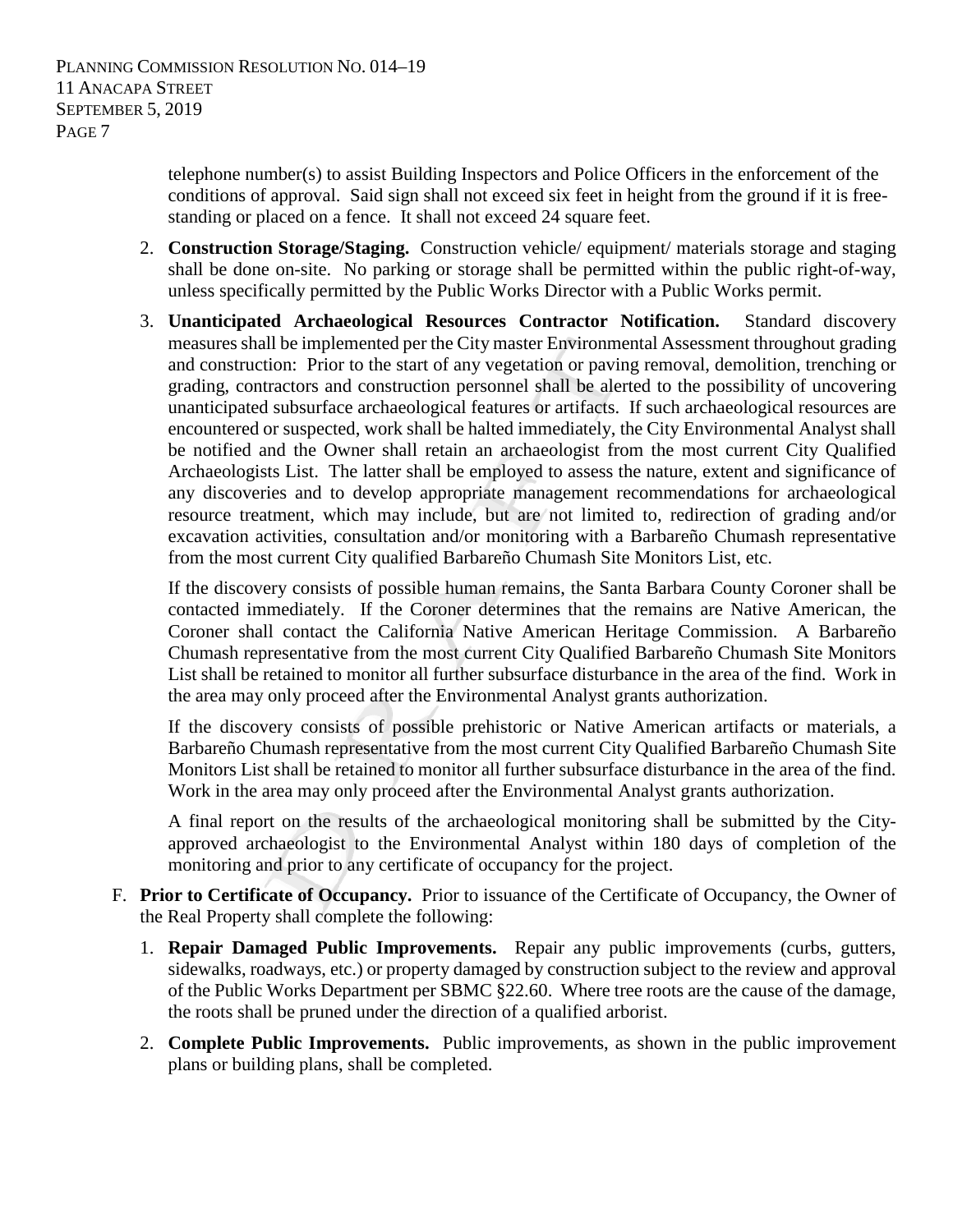telephone number(s) to assist Building Inspectors and Police Officers in the enforcement of the conditions of approval. Said sign shall not exceed six feet in height from the ground if it is freestanding or placed on a fence. It shall not exceed 24 square feet.

- 2. **Construction Storage/Staging.** Construction vehicle/ equipment/ materials storage and staging shall be done on-site. No parking or storage shall be permitted within the public right-of-way, unless specifically permitted by the Public Works Director with a Public Works permit.
- 3. **Unanticipated Archaeological Resources Contractor Notification.** Standard discovery measures shall be implemented per the City master Environmental Assessment throughout grading and construction: Prior to the start of any vegetation or paving removal, demolition, trenching or grading, contractors and construction personnel shall be alerted to the possibility of uncovering unanticipated subsurface archaeological features or artifacts. If such archaeological resources are encountered or suspected, work shall be halted immediately, the City Environmental Analyst shall be notified and the Owner shall retain an archaeologist from the most current City Qualified Archaeologists List. The latter shall be employed to assess the nature, extent and significance of any discoveries and to develop appropriate management recommendations for archaeological resource treatment, which may include, but are not limited to, redirection of grading and/or excavation activities, consultation and/or monitoring with a Barbareño Chumash representative from the most current City qualified Barbareño Chumash Site Monitors List, etc.

If the discovery consists of possible human remains, the Santa Barbara County Coroner shall be contacted immediately. If the Coroner determines that the remains are Native American, the Coroner shall contact the California Native American Heritage Commission. A Barbareño Chumash representative from the most current City Qualified Barbareño Chumash Site Monitors List shall be retained to monitor all further subsurface disturbance in the area of the find. Work in the area may only proceed after the Environmental Analyst grants authorization.

If the discovery consists of possible prehistoric or Native American artifacts or materials, a Barbareño Chumash representative from the most current City Qualified Barbareño Chumash Site Monitors List shall be retained to monitor all further subsurface disturbance in the area of the find. Work in the area may only proceed after the Environmental Analyst grants authorization.

A final report on the results of the archaeological monitoring shall be submitted by the Cityapproved archaeologist to the Environmental Analyst within 180 days of completion of the monitoring and prior to any certificate of occupancy for the project.

- F. **Prior to Certificate of Occupancy.** Prior to issuance of the Certificate of Occupancy, the Owner of the Real Property shall complete the following:
	- 1. **Repair Damaged Public Improvements.** Repair any public improvements (curbs, gutters, sidewalks, roadways, etc.) or property damaged by construction subject to the review and approval of the Public Works Department per SBMC §22.60. Where tree roots are the cause of the damage, the roots shall be pruned under the direction of a qualified arborist.
	- 2. **Complete Public Improvements.** Public improvements, as shown in the public improvement plans or building plans, shall be completed.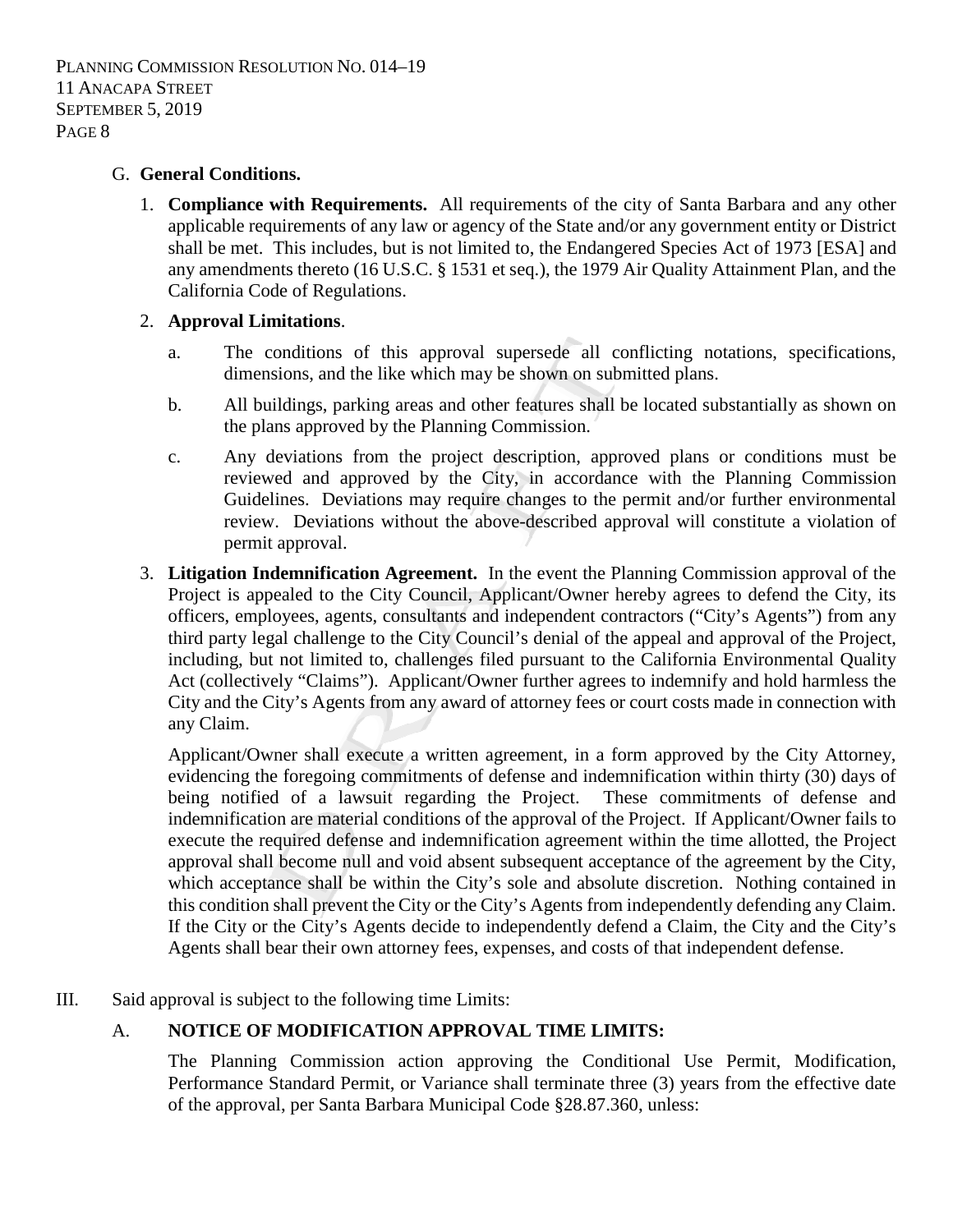PLANNING COMMISSION RESOLUTION NO. 014–19 11 ANACAPA STREET SEPTEMBER 5, 2019 PAGE 8

#### G. **General Conditions.**

1. **Compliance with Requirements.** All requirements of the city of Santa Barbara and any other applicable requirements of any law or agency of the State and/or any government entity or District shall be met. This includes, but is not limited to, the Endangered Species Act of 1973 [ESA] and any amendments thereto (16 U.S.C. § 1531 et seq.), the 1979 Air Quality Attainment Plan, and the California Code of Regulations.

### 2. **Approval Limitations**.

- a. The conditions of this approval supersede all conflicting notations, specifications, dimensions, and the like which may be shown on submitted plans.
- b. All buildings, parking areas and other features shall be located substantially as shown on the plans approved by the Planning Commission.
- c. Any deviations from the project description, approved plans or conditions must be reviewed and approved by the City, in accordance with the Planning Commission Guidelines. Deviations may require changes to the permit and/or further environmental review. Deviations without the above-described approval will constitute a violation of permit approval.
- 3. **Litigation Indemnification Agreement.** In the event the Planning Commission approval of the Project is appealed to the City Council, Applicant/Owner hereby agrees to defend the City, its officers, employees, agents, consultants and independent contractors ("City's Agents") from any third party legal challenge to the City Council's denial of the appeal and approval of the Project, including, but not limited to, challenges filed pursuant to the California Environmental Quality Act (collectively "Claims"). Applicant/Owner further agrees to indemnify and hold harmless the City and the City's Agents from any award of attorney fees or court costs made in connection with any Claim.

Applicant/Owner shall execute a written agreement, in a form approved by the City Attorney, evidencing the foregoing commitments of defense and indemnification within thirty (30) days of being notified of a lawsuit regarding the Project. These commitments of defense and indemnification are material conditions of the approval of the Project. If Applicant/Owner fails to execute the required defense and indemnification agreement within the time allotted, the Project approval shall become null and void absent subsequent acceptance of the agreement by the City, which acceptance shall be within the City's sole and absolute discretion. Nothing contained in this condition shall prevent the City or the City's Agents from independently defending any Claim. If the City or the City's Agents decide to independently defend a Claim, the City and the City's Agents shall bear their own attorney fees, expenses, and costs of that independent defense.

III. Said approval is subject to the following time Limits:

# A. **NOTICE OF MODIFICATION APPROVAL TIME LIMITS:**

The Planning Commission action approving the Conditional Use Permit, Modification, Performance Standard Permit, or Variance shall terminate three (3) years from the effective date of the approval, per Santa Barbara Municipal Code §28.87.360, unless: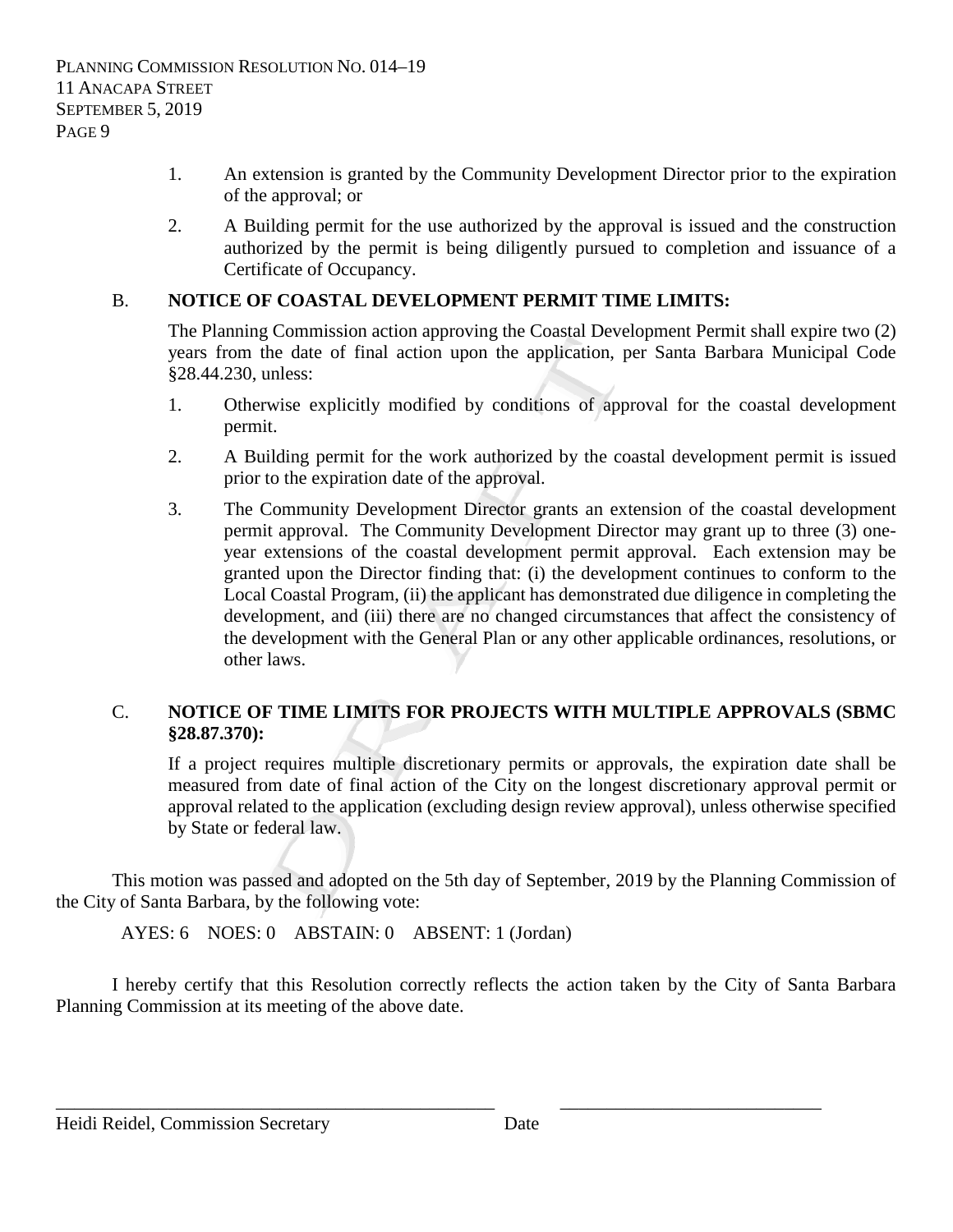- 1. An extension is granted by the Community Development Director prior to the expiration of the approval; or
- 2. A Building permit for the use authorized by the approval is issued and the construction authorized by the permit is being diligently pursued to completion and issuance of a Certificate of Occupancy.

# B. **NOTICE OF COASTAL DEVELOPMENT PERMIT TIME LIMITS:**

The Planning Commission action approving the Coastal Development Permit shall expire two (2) years from the date of final action upon the application, per Santa Barbara Municipal Code §28.44.230, unless:

- 1. Otherwise explicitly modified by conditions of approval for the coastal development permit.
- 2. A Building permit for the work authorized by the coastal development permit is issued prior to the expiration date of the approval.
- 3. The Community Development Director grants an extension of the coastal development permit approval. The Community Development Director may grant up to three (3) oneyear extensions of the coastal development permit approval. Each extension may be granted upon the Director finding that: (i) the development continues to conform to the Local Coastal Program, (ii) the applicant has demonstrated due diligence in completing the development, and (iii) there are no changed circumstances that affect the consistency of the development with the General Plan or any other applicable ordinances, resolutions, or other laws.

## C. **NOTICE OF TIME LIMITS FOR PROJECTS WITH MULTIPLE APPROVALS (SBMC §28.87.370):**

If a project requires multiple discretionary permits or approvals, the expiration date shall be measured from date of final action of the City on the longest discretionary approval permit or approval related to the application (excluding design review approval), unless otherwise specified by State or federal law.

This motion was passed and adopted on the 5th day of September, 2019 by the Planning Commission of the City of Santa Barbara, by the following vote:

AYES: 6 NOES: 0 ABSTAIN: 0 ABSENT: 1 (Jordan)

I hereby certify that this Resolution correctly reflects the action taken by the City of Santa Barbara Planning Commission at its meeting of the above date.

\_\_\_\_\_\_\_\_\_\_\_\_\_\_\_\_\_\_\_\_\_\_\_\_\_\_\_\_\_\_\_\_\_\_\_\_\_\_\_\_\_\_\_\_\_\_\_ \_\_\_\_\_\_\_\_\_\_\_\_\_\_\_\_\_\_\_\_\_\_\_\_\_\_\_\_